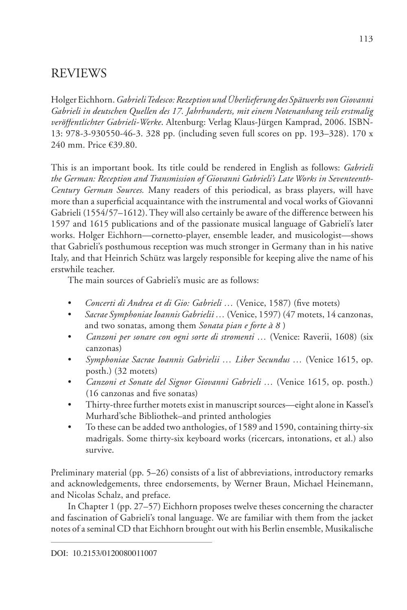Holger Eichhorn. *Gabrieli Tedesco: Rezeption und Überlieferung des Sp berlieferung des Spätwerks von Giovanni Gabrieli in deutschen Quellen des 17. Jahrhunderts, mit einem Notenanhang teils erstmalig veröffentlichter Gabrieli-Werke ffentlichter* . Altenburg: Verlag Klaus-Jürgen Kamprad, 2006. ISBN-13: 978-3-930550-46-3. 328 pp. (including seven full scores on pp. 193–328). 170 x 240 mm. Price €39.80.

This is an important book. Its title could be rendered in English as follows: *Gabrieli the German: Reception and Transmission of Giovanni Gabrieli's Late Works in Seventeenth- s Late Works in Seventeenth-Century German Sources.* Many readers of this periodical, as brass players, will have more than a superficial acquaintance with the instrumental and vocal works of Giovanni Gabrieli (1554/57–1612). They will also certainly be aware of the difference between his 1597 and 1615 publications and of the passionate musical language of Gabrieli's later works. Holger Eichhorn—cornetto-player, ensemble leader, and musicologist—shows that Gabrieli's posthumous reception was much stronger in Germany than in his native Italy, and that Heinrich Schütz was largely responsible for keeping alive the name of his erstwhile teacher.

The main sources of Gabrieli's music are as follows:

- *Concerti di Andrea et di Gio: Gabrieli ...* (Venice, 1587) (five motets)
- *Sacrae Symphoniae Ioannis Gabrielii …* (Venice, 1597) (47 motets, 14 canzonas, and two sonatas, among them *Sonata pian e forte à 8* )
- *Canzoni per sonare con ogni sorte di stromenti …* (Venice: Raverii, 1608) (six canzonas)
- *Symphoniae Sacrae Ioannis Gabrielii … Liber Secundus …* (Venice 1615, op. posth.) (32 motets)
- *Canzoni et Sonate del Signor Giovanni Gabrieli …* (Venice 1615, op. posth.)  $(16 \text{ canzonas and five sonatas})$
- Thirty-three further motets exist in manuscript sources—eight alone in Kassel's Murhard'sche Bibliothek–and printed anthologies
- To these can be added two anthologies, of 1589 and 1590, containing thirty-six madrigals. Some thirty-six keyboard works (ricercars, intonations, et al.) also survive.

Preliminary material (pp. 5–26) consists of a list of abbreviations, introductory remarks and acknowledgements, three endorsements, by Werner Braun, Michael Heinemann, and Nicolas Schalz, and preface.

 In Chapter 1 (pp. 27–57) Eichhorn proposes twelve theses concerning the character and fascination of Gabrieli's tonal language. We are familiar with them from the jacket notes of a seminal CD that Eichhorn brought out with his Berlin ensemble, Musikalische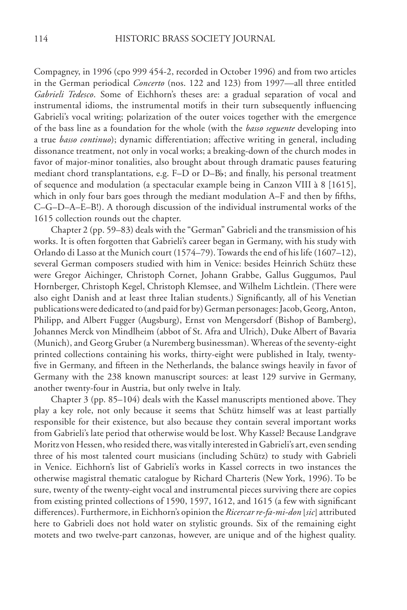Compagney, in 1996 (cpo 999 454-2, recorded in October 1996) and from two articles in the German periodical *Concerto* (nos. 122 and 123) from 1997—all three entitled *Gabrieli Tedesco*. Some of Eichhorn's theses are: a gradual separation of vocal and instrumental idioms, the instrumental motifs in their turn subsequently influencing Gabrieli's vocal writing; polarization of the outer voices together with the emergence of the bass line as a foundation for the whole (with the *basso sequente* developing into a true *basso continuo*); dynamic differentiation; affective writing in general, including dissonance treatment, not only in vocal works; a breaking-down of the church modes in favor of major-minor tonalities, also brought about through dramatic pauses featuring mediant chord transplantations, e.g.  $F-D$  or  $D-B$ ; and finally, his personal treatment of sequence and modulation (a spectacular example being in Canzon VIII à 8 [1615], which in only four bars goes through the mediant modulation A–F and then by fifths, C–G–D–A–E–B!). A thorough discussion of the individual instrumental works of the 1615 collection rounds out the chapter.

 Chapter 2 (pp. 59–83) deals with the "German" Gabrieli and the transmission of his works. It is often forgotten that Gabrieli's career began in Germany, with his study with Orlando di Lasso at the Munich court (1574–79). Towards the end of his life (1607–12), several German composers studied with him in Venice: besides Heinrich Schütz these were Gregor Aichinger, Christoph Cornet, Johann Grabbe, Gallus Guggumos, Paul Hornberger, Christoph Kegel, Christoph Klemsee, and Wilhelm Lichtlein. (There were also eight Danish and at least three Italian students.) Significantly, all of his Venetian publications were dedicated to (and paid for by) German personages: Jacob, Georg, Anton, Philipp, and Albert Fugger (Augsburg), Ernst von Mengersdorf (Bishop of Bamberg), Johannes Merck von Mindlheim (abbot of St. Afra and Ulrich), Duke Albert of Bavaria (Munich), and Georg Gruber (a Nuremberg businessman). Whereas of the seventy-eight printed collections containing his works, thirty-eight were published in Italy, twentyfive in Germany, and fifteen in the Netherlands, the balance swings heavily in favor of Germany with the 238 known manuscript sources: at least 129 survive in Germany, another twenty-four in Austria, but only twelve in Italy.

 Chapter 3 (pp. 85–104) deals with the Kassel manuscripts mentioned above. They play a key role, not only because it seems that Schütz himself was at least partially responsible for their existence, but also because they contain several important works from Gabrieli's late period that otherwise would be lost. Why Kassel? Because Landgrave Moritz von Hessen, who resided there, was vitally interested in Gabrieli's art, even sending three of his most talented court musicians (including Schütz) to study with Gabrieli in Venice. Eichhorn's list of Gabrieli's works in Kassel corrects in two instances the otherwise magistral thematic catalogue by Richard Charteris (New York, 1996). To be sure, twenty of the twenty-eight vocal and instrumental pieces surviving there are copies from existing printed collections of 1590, 1597, 1612, and 1615 (a few with significant differences). Furthermore, in Eichhorn's opinion the *Ricercar re-fa-mi-don* [*sic*] attributed ] attributed here to Gabrieli does not hold water on stylistic grounds. Six of the remaining eight motets and two twelve-part canzonas, however, are unique and of the highest quality.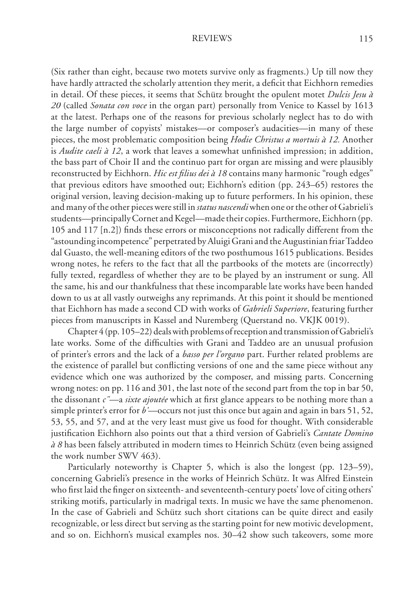(Six rather than eight, because two motets survive only as fragments.) Up till now they have hardly attracted the scholarly attention they merit, a deficit that Eichhorn remedies in detail. Of these pieces, it seems that Schütz brought the opulent motet *Dulcis Jesu à*  20 (called *Sonata con voce* in the organ part) personally from Venice to Kassel by 1613 at the latest. Perhaps one of the reasons for previous scholarly neglect has to do with the large number of copyists' mistakes—or composer's audacities—in many of these pieces, the most problematic composition being *Hodie Christus a mortuis à 12.* Another is *Audite caeli à 12*, a work that leaves a somewhat unfinished impression; in addition, the bass part of Choir II and the continuo part for organ are missing and were plausibly reconstructed by Eichhorn. *Hic est filius dei à 18* contains many harmonic "rough edges" that previous editors have smoothed out; Eichhorn's edition (pp. 243–65) restores the original version, leaving decision-making up to future performers. In his opinion, these and many of the other pieces were still in *status nascendi* when one or the other of Gabrieli's students—principally Cornet and Kegel—made their copies. Furthermore, Eichhorn (pp. 105 and 117  $[n,2]$ ) finds these errors or misconceptions not radically different from the "astounding incompetence" perpetrated by Aluigi Grani and the Augustinian friar Taddeo dal Guasto, the well-meaning editors of the two posthumous 1615 publications. Besides wrong notes, he refers to the fact that all the partbooks of the motets are (incorrectly) fully texted, regardless of whether they are to be played by an instrument or sung. All the same, his and our thankfulness that these incomparable late works have been handed down to us at all vastly outweighs any reprimands. At this point it should be mentioned that Eichhorn has made a second CD with works of *Gabrieli Superiore*, featuring further pieces from manuscripts in Kassel and Nuremberg (Querstand no. VKJK 0019).

 Chapter 4 (pp. 105–22) deals with problems of reception and transmission of Gabrieli's late works. Some of the difficulties with Grani and Taddeo are an unusual profusion of printer's errors and the lack of a *basso per l'organo* part. Further related problems are the existence of parallel but conflicting versions of one and the same piece without any evidence which one was authorized by the composer, and missing parts. Concerning wrong notes: on pp. 116 and 301, the last note of the second part from the top in bar 50, the dissonant *c"*—a *sixte ajoutée* which at first glance appears to be nothing more than a simple printer's error for *b'*—occurs not just this once but again and again in bars 51, 52, 53, 55, and 57, and at the very least must give us food for thought. With considerable justification Eichhorn also points out that a third version of Gabrieli's *Cantate Domino*  $\dot{a}$  8 has been falsely attributed in modern times to Heinrich Schütz (even being assigned the work number SWV 463).

 Particularly noteworthy is Chapter 5, which is also the longest (pp. 123–59), concerning Gabrieli's presence in the works of Heinrich Schütz. It was Alfred Einstein who first laid the finger on sixteenth- and seventeenth-century poets' love of citing others' striking motifs, particularly in madrigal texts. In music we have the same phenomenon. In the case of Gabrieli and Schütz such short citations can be quite direct and easily recognizable, or less direct but serving as the starting point for new motivic development, and so on. Eichhorn's musical examples nos. 30–42 show such takeovers, some more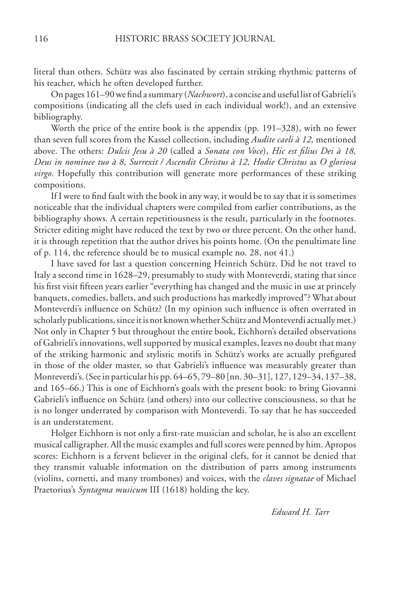literal than others. Schütz was also fascinated by certain striking rhythmic patterns of his teacher, which he often developed further.

On pages 161–90 we find a summary (*Nachwort*), a concise and useful list of Gabrieli's compositions (indicating all the clefs used in each individual work!), and an extensive bibliography.

 Worth the price of the entire book is the appendix (pp. 191–328), with no fewer than seven full scores from the Kassel collection, including *Audite caeli à 12,* mentioned above. The others: *Dulcis Jesu à 20* (called a *Sonata con Voce*), *Hic est filius Dei à 18*, *Deus in nominee tuo à 8, Surrexit / Ascendit Christus à 12, Hodie Christus* as *O gloriosa virgo*. Hopefully this contribution will generate more performances of these striking compositions.

If I were to find fault with the book in any way, it would be to say that it is sometimes noticeable that the individual chapters were compiled from earlier contributions, as the bibliography shows. A certain repetitiousness is the result, particularly in the footnotes. Stricter editing might have reduced the text by two or three percent. On the other hand, it is through repetition that the author drives his points home. (On the penultimate line of p. 114, the reference should be to musical example no. 28, not 41.)

 I have saved for last a question concerning Heinrich Schütz. Did he not travel to Italy a second time in 1628–29, presumably to study with Monteverdi, stating that since his first visit fifteen years earlier "everything has changed and the music in use at princely banquets, comedies, ballets, and such productions has markedly improved"? What about Monteverdi's influence on Schütz? (In my opinion such influence is often overrated in scholarly publications, since it is not known whether Schütz and Monteverdi actually met.) Not only in Chapter 5 but throughout the entire book, Eichhorn's detailed observations of Gabrieli's innovations, well supported by musical examples, leaves no doubt that many of the striking harmonic and stylistic motifs in Schütz's works are actually prefigured in those of the older master, so that Gabrieli's influence was measurably greater than Monteverdi's. (See in particular his pp. 64–65, 79–80 [nn. 30–31], 127, 129–34, 137–38, and 165–66.) This is one of Eichhorn's goals with the present book: to bring Giovanni Gabrieli's influence on Schütz (and others) into our collective consciousness, so that he is no longer underrated by comparison with Monteverdi. To say that he has succeeded is an understatement.

Holger Eichhorn is not only a first-rate musician and scholar, he is also an excellent musical calligrapher. All the music examples and full scores were penned by him. Apropos scores: Eichhorn is a fervent believer in the original clefs, for it cannot be denied that they transmit valuable information on the distribution of parts among instruments (violins, cornetti, and many trombones) and voices, with the *claves signatae* of Michael Praetorius's *Syntagma musicum* III (1618) holding the key.

 *Edward H. Tarr*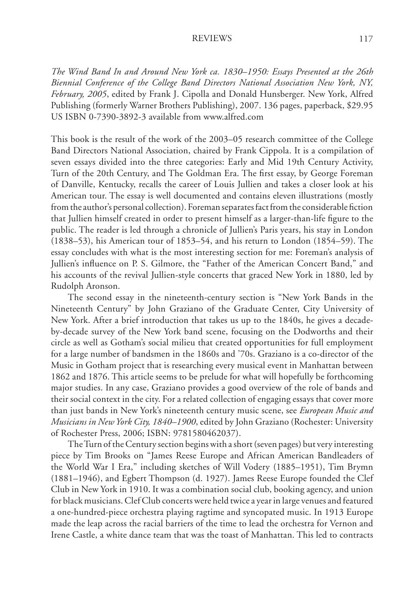*The Wind Band In and Around New York ca. 1830–1950: Essays Presented at the 26th Biennial Conference of the College Band Directors National Association New York, NY, February, 2005*, edited by Frank J. Cipolla and Donald Hunsberger. New York, Alfred Publishing (formerly Warner Brothers Publishing), 2007. 136 pages, paperback, \$29.95 US ISBN 0-7390-3892-3 available from www.alfred.com

This book is the result of the work of the 2003–05 research committee of the College Band Directors National Association, chaired by Frank Cippola. It is a compilation of seven essays divided into the three categories: Early and Mid 19th Century Activity, Turn of the 20th Century, and The Goldman Era. The first essay, by George Foreman of Danville, Kentucky, recalls the career of Louis Jullien and takes a closer look at his American tour. The essay is well documented and contains eleven illustrations (mostly from the author's personal collection). Foreman separates fact from the considerable fiction that Jullien himself created in order to present himself as a larger-than-life figure to the public. The reader is led through a chronicle of Jullien's Paris years, his stay in London (1838–53), his American tour of 1853–54, and his return to London (1854–59). The essay concludes with what is the most interesting section for me: Foreman's analysis of Jullien's influence on P. S. Gilmore, the "Father of the American Concert Band," and his accounts of the revival Jullien-style concerts that graced New York in 1880, led by Rudolph Aronson.

 The second essay in the nineteenth-century section is "New York Bands in the Nineteenth Century" by John Graziano of the Graduate Center, City University of New York. After a brief introduction that takes us up to the 1840s, he gives a decadeby-decade survey of the New York band scene, focusing on the Dodworths and their circle as well as Gotham's social milieu that created opportunities for full employment for a large number of bandsmen in the 1860s and '70s. Graziano is a co-director of the Music in Gotham project that is researching every musical event in Manhattan between 1862 and 1876. This article seems to be prelude for what will hopefully be forthcoming major studies. In any case, Graziano provides a good overview of the role of bands and their social context in the city. For a related collection of engaging essays that cover more than just bands in New York's nineteenth century music scene, see *European Music and Musicians in New York City, 1840–1900*, edited by John Graziano (Rochester: University of Rochester Press, 2006; ISBN: 9781580462037).

 The Turn of the Century section begins with a short (seven pages) but very interesting piece by Tim Brooks on "James Reese Europe and African American Bandleaders of the World War I Era," including sketches of Will Vodery (1885–1951), Tim Brymn (1881–1946), and Egbert Thompson (d. 1927). James Reese Europe founded the Clef Club in New York in 1910. It was a combination social club, booking agency, and union for black musicians. Clef Club concerts were held twice a year in large venues and featured a one-hundred-piece orchestra playing ragtime and syncopated music. In 1913 Europe made the leap across the racial barriers of the time to lead the orchestra for Vernon and Irene Castle, a white dance team that was the toast of Manhattan. This led to contracts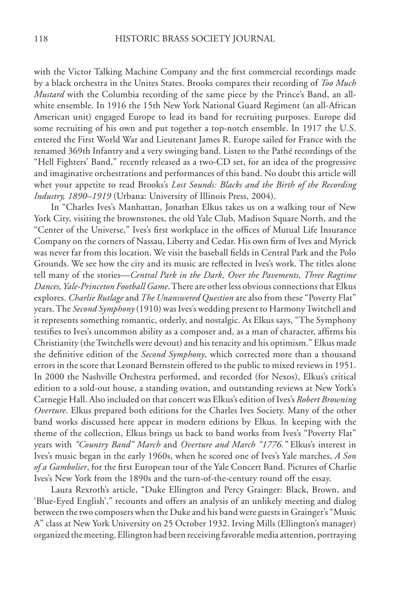with the Victor Talking Machine Company and the first commercial recordings made by a black orchestra in the Unites States. Brooks compares their recording of *Too Much Mustard* with the Columbia recording of the same piece by the Prince's Band, an allwhite ensemble. In 1916 the 15th New York National Guard Regiment (an all-African American unit) engaged Europe to lead its band for recruiting purposes. Europe did some recruiting of his own and put together a top-notch ensemble. In 1917 the U.S. entered the First World War and Lieutenant James R. Europe sailed for France with the renamed 369th Infantry and a very swinging band. Listen to the Pathé recordings of the "Hell Fighters' Band," recently released as a two-CD set, for an idea of the progressive and imaginative orchestrations and performances of this band. No doubt this article will whet your appetite to read Brooks's *Lost Sounds: Blacks and the Birth of the Recording Industry, 1890–1919* (Urbana: University of Illinois Press, 2004).

 In "Charles Ives's Manhattan, Jonathan Elkus takes us on a walking tour of New York City, visiting the brownstones, the old Yale Club, Madison Square North, and the "Center of the Universe," Ives's first workplace in the offices of Mutual Life Insurance Company on the corners of Nassau, Liberty and Cedar. His own firm of Ives and Myrick was never far from this location. We visit the baseball fields in Central Park and the Polo Grounds. We see how the city and its music are reflected in Ives's work. The titles alone tell many of the stories—*Central Park in the Dark, Over the Pavements, Three Ragtime Dances, Yale-Princeton Football Game*. There are other less obvious connections that Elkus explores. *Charlie Rutlage* and *The Unanswered Question* are also from these "Poverty Flat" years. The *Second Symphony* (1910) was Ives's wedding present to Harmony Twitchell and it represents something romantic, orderly, and nostalgic. As Elkus says, "The Symphony testifies to Ives's uncommon ability as a composer and, as a man of character, affirms his Christianity (the Twitchells were devout) and his tenacity and his optimism." Elkus made the definitive edition of the *Second Symphony*, which corrected more than a thousand errors in the score that Leonard Bernstein offered to the public to mixed reviews in 1951. In 2000 the Nashville Orchestra performed, and recorded (for Nexos), Elkus's critical edition to a sold-out house, a standing ovation, and outstanding reviews at New York's Carnegie Hall. Also included on that concert was Elkus's edition of Ives's *Robert Browning Overture*. Elkus prepared both editions for the Charles Ives Society. Many of the other band works discussed here appear in modern editions by Elkus. In keeping with the theme of the collection, Elkus brings us back to band works from Ives's "Poverty Flat" years with "Country Band" March and Overture and March "1776.' I Elkus's interest in Ives's music began in the early 1960s, when he scored one of Ives's Yale marches, *A Son*  of a Gambolier, for the first European tour of the Yale Concert Band. Pictures of Charlie Ives's New York from the 1890s and the turn-of-the-century round off the essay.

 Laura Rexroth's article, "Duke Ellington and Percy Grainger: Black, Brown, and 'Blue-Eyed English'," recounts and offers an analysis of an unlikely meeting and dialog between the two composers when the Duke and his band were guests in Grainger's "Music A" class at New York University on 25 October 1932. Irving Mills (Ellington's manager) organized the meeting. Ellington had been receiving favorable media attention, portraying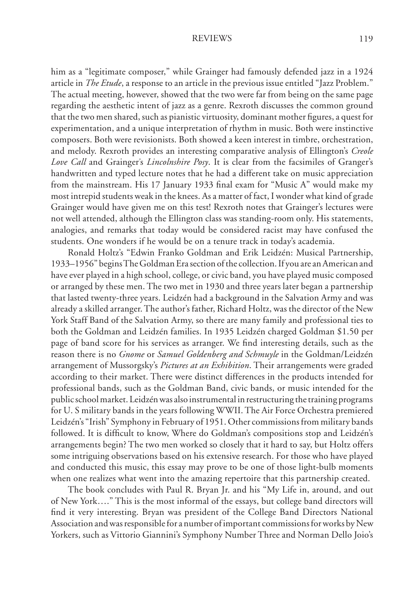him as a "legitimate composer," while Grainger had famously defended jazz in a 1924 article in *The Etude*, a response to an article in the previous issue entitled "Jazz Problem." The actual meeting, however, showed that the two were far from being on the same page regarding the aesthetic intent of jazz as a genre. Rexroth discusses the common ground that the two men shared, such as pianistic virtuosity, dominant mother figures, a quest for experimentation, and a unique interpretation of rhythm in music. Both were instinctive composers. Both were revisionists. Both showed a keen interest in timbre, orchestration, and melody. Rexroth provides an interesting comparative analysis of Ellington's *Creole Love Call* and Grainger's *Lincolnshire Posy*. It is clear from the facsimiles of Granger's handwritten and typed lecture notes that he had a different take on music appreciation from the mainstream. His 17 January 1933 final exam for "Music A" would make my most intrepid students weak in the knees. As a matter of fact, I wonder what kind of grade Grainger would have given me on this test! Rexroth notes that Grainger's lectures were not well attended, although the Ellington class was standing-room only. His statements, analogies, and remarks that today would be considered racist may have confused the students. One wonders if he would be on a tenure track in today's academia.

 Ronald Holtz's "Edwin Franko Goldman and Erik Leidzén: Musical Partnership, 1933–1956" begins The Goldman Era section of the collection. If you are an American and have ever played in a high school, college, or civic band, you have played music composed or arranged by these men. The two met in 1930 and three years later began a partnership that lasted twenty-three years. Leidzén had a background in the Salvation Army and was already a skilled arranger. The author's father, Richard Holtz, was the director of the New York Staff Band of the Salvation Army, so there are many family and professional ties to both the Goldman and Leidzén families. In 1935 Leidzén charged Goldman \$1.50 per page of band score for his services as arranger. We find interesting details, such as the reason there is no *Gnome* or Samuel Goldenberg and Schmuyle in the Goldman/Leidzén arrangement of Mussorgsky's *Pictures at an Exhibition*. Their arrangements were graded according to their market. There were distinct differences in the products intended for professional bands, such as the Goldman Band, civic bands, or music intended for the public school market. Leidzén was also instrumental in restructuring the training programs for U. S military bands in the years following WWII. The Air Force Orchestra premiered Leidzén's "Irish" Symphony in February of 1951. Other commissions from military bands followed. It is difficult to know, Where do Goldman's compositions stop and Leidzén's arrangements begin? The two men worked so closely that it hard to say, but Holtz offers some intriguing observations based on his extensive research. For those who have played and conducted this music, this essay may prove to be one of those light-bulb moments when one realizes what went into the amazing repertoire that this partnership created.

 The book concludes with Paul R. Bryan Jr. and his "My Life in, around, and out of New York…." This is the most informal of the essays, but college band directors will find it very interesting. Bryan was president of the College Band Directors National Association and was responsible for a number of important commissions for works by New Yorkers, such as Vittorio Giannini's Symphony Number Three and Norman Dello Joio's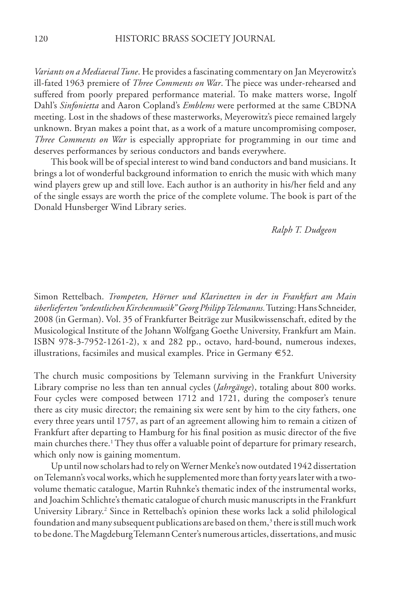*Variants on a Mediaeval Tune*. He provides a fascinating commentary on Jan Meyerowitz's ill-fated 1963 premiere of *Three Comments on War*. The piece was under-rehearsed and suffered from poorly prepared performance material. To make matters worse, Ingolf Dahl's *Sinfonietta* and Aaron Copland's *Emblems* were performed at the same CBDNA meeting. Lost in the shadows of these masterworks, Meyerowitz's piece remained largely unknown. Bryan makes a point that, as a work of a mature uncompromising composer, *Three Comments on Warl* is especially appropriate for programming in our time and deserves performances by serious conductors and bands everywhere.

 This book will be of special interest to wind band conductors and band musicians. It brings a lot of wonderful background information to enrich the music with which many wind players grew up and still love. Each author is an authority in his/her field and any of the single essays are worth the price of the complete volume. The book is part of the Donald Hunsberger Wind Library series.

### *Ralph T. Dudgeon*

Simon Rettelbach. *Trompeten, Hörner und Klarinetten in der in Frankfurt am Main überlieferten "ordentlichen Kirchenmusik" Georg Philipp Telemanns.* Tutzing: Hans Schneider, 2008 (in German). Vol. 35 of Frankfurter Beiträge zur Musikwissenschaft, edited by the Musicological Institute of the Johann Wolfgang Goethe University, Frankfurt am Main. ISBN 978-3-7952-1261-2), x and 282 pp., octavo, hard-bound, numerous indexes, illustrations, facsimiles and musical examples. Price in Germany €52.

The church music compositions by Telemann surviving in the Frankfurt University Library comprise no less than ten annual cycles ( *Jahrgänge*), totaling about 800 works. Four cycles were composed between 1712 and 1721, during the composer's tenure there as city music director; the remaining six were sent by him to the city fathers, one every three years until 1757, as part of an agreement allowing him to remain a citizen of Frankfurt after departing to Hamburg for his final position as music director of the five main churches there.<sup>1</sup> They thus offer a valuable point of departure for primary research, which only now is gaining momentum.

 Up until now scholars had to rely on Werner Menke's now outdated 1942 dissertation on Telemann's vocal works, which he supplemented more than forty years later with a twovolume thematic catalogue, Martin Ruhnke's thematic index of the instrumental works, and Joachim Schlichte's thematic catalogue of church music manuscripts in the Frankfurt University Library.<sup>2</sup> Since in Rettelbach's opinion these works lack a solid philological foundation and many subsequent publications are based on them, $3$  there is still much work to be done. The Magdeburg Telemann Center's numerous articles, dissertations, and music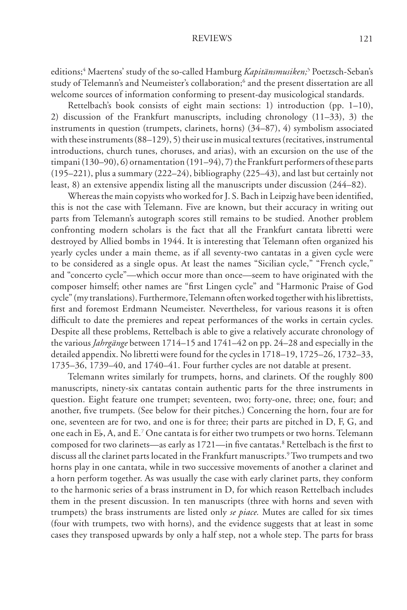editions;<sup>4</sup> Maertens' study of the so-called Hamburg *Kapitänsmusiken*;<sup>5</sup> Poetzsch-Seban's study of Telemann's and Neumeister's collaboration;6 and the present dissertation are all welcome sources of information conforming to present-day musicological standards.

 Rettelbach's book consists of eight main sections: 1) introduction (pp. 1–10), 2) discussion of the Frankfurt manuscripts, including chronology (11–33), 3) the instruments in question (trumpets, clarinets, horns) (34–87), 4) symbolism associated with these instruments (88–129), 5) their use in musical textures (recitatives, instrumental introductions, church tunes, choruses, and arias), with an excursion on the use of the timpani (130–90), 6) ornamentation (191–94), 7) the Frankfurt performers of these parts (195–221), plus a summary (222–24), bibliography (225–43), and last but certainly not least, 8) an extensive appendix listing all the manuscripts under discussion (244–82).

Whereas the main copyists who worked for J. S. Bach in Leipzig have been identified, this is not the case with Telemann. Five are known, but their accuracy in writing out parts from Telemann's autograph scores still remains to be studied. Another problem confronting modern scholars is the fact that all the Frankfurt cantata libretti were destroyed by Allied bombs in 1944. It is interesting that Telemann often organized his yearly cycles under a main theme, as if all seventy-two cantatas in a given cycle were to be considered as a single opus. At least the names "Sicilian cycle," "French cycle," and "concerto cycle"—which occur more than once—seem to have originated with the composer himself; other names are "first Lingen cycle" and "Harmonic Praise of God cycle" (my translations). Furthermore, Telemann often worked together with his librettists, first and foremost Erdmann Neumeister. Nevertheless, for various reasons it is often difficult to date the premieres and repeat performances of the works in certain cycles. Despite all these problems, Rettelbach is able to give a relatively accurate chronology of the various *Jahrgänge* between 1714–15 and 1741–42 on pp. 24–28 and especially in the detailed appendix. No libretti were found for the cycles in 1718–19, 1725–26, 1732–33, 1735–36, 1739–40, and 1740–41. Four further cycles are not datable at present.

 Telemann writes similarly for trumpets, horns, and clarinets. Of the roughly 800 manuscripts, ninety-six cantatas contain authentic parts for the three instruments in question. Eight feature one trumpet; seventeen, two; forty-one, three; one, four; and another, five trumpets. (See below for their pitches.) Concerning the horn, four are for one, seventeen are for two, and one is for three; their parts are pitched in D, F, G, and one each in Eb, A, and E.<sup>7</sup> One cantata is for either two trumpets or two horns. Telemann composed for two clarinets—as early as 1721—in five cantatas.<sup>8</sup> Rettelbach is the first to discuss all the clarinet parts located in the Frankfurt manuscripts.<sup>9</sup> Two trumpets and two horns play in one cantata, while in two successive movements of another a clarinet and a horn perform together. As was usually the case with early clarinet parts, they conform to the harmonic series of a brass instrument in D, for which reason Rettelbach includes them in the present discussion. In ten manuscripts (three with horns and seven with trumpets) the brass instruments are listed only *se piace.* Mutes are called for six times (four with trumpets, two with horns), and the evidence suggests that at least in some cases they transposed upwards by only a half step, not a whole step. The parts for brass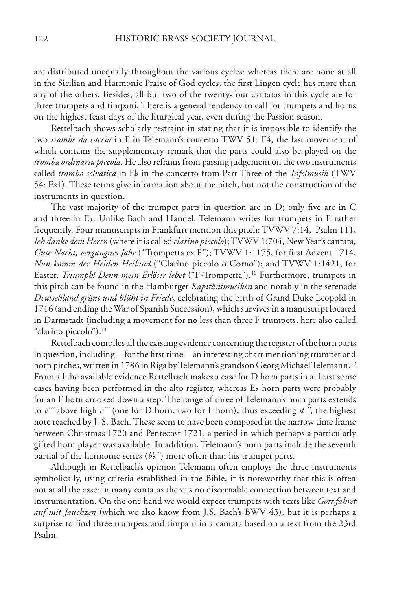are distributed unequally throughout the various cycles: whereas there are none at all in the Sicilian and Harmonic Praise of God cycles, the first Lingen cycle has more than any of the others. Besides, all but two of the twenty-four cantatas in this cycle are for three trumpets and timpani. There is a general tendency to call for trumpets and horns on the highest feast days of the liturgical year, even during the Passion season.

 Rettelbach shows scholarly restraint in stating that it is impossible to identify the two *trombe da caccia* in F in Telemann's concerto TWV 51: F4, the last movement of which contains the supplementary remark that the parts could also be played on the *tromba ordinaria piccola.* He also refrains from passing judgement on the two instruments called *tromba selvatica* in E<sub>b</sub> in the concerto from Part Three of the *Tafelmusik* (TWV 54: Es1). These terms give information about the pitch, but not the construction of the instruments in question.

The vast majority of the trumpet parts in question are in  $D$ ; only five are in  $C$ and three in Eb. Unlike Bach and Handel, Telemann writes for trumpets in F rather frequently. Four manuscripts in Frankfurt mention this pitch: TVWV 7:14, Psalm 111, *Ich danke dem Herrn* (where it is called *clarino piccolo*); TVWV 1:704, New Year's cantata, *Gute Nacht, vergangnes Jahr* ("Trompetta ex F"); TVWV 1:1175, for first Advent 1714, *Nun komm der Heiden Heiland* ("Clarino piccolo ò Corno"); and TVWV 1:1421, for Easter, *Triumph! Denn mein Erlöser lebet*l ("F-Trompetta").<sup>10</sup> Furthermore, trumpets in this pitch can be found in the Hamburger *Kapitänsmusiken* and notably in the serenade *Deutschland grünt und blüht in Friede*, celebrating the birth of Grand Duke Leopold in 1716 (and ending the War of Spanish Succession), which survives in a manuscript located in Darmstadt (including a movement for no less than three F trumpets, here also called "clarino piccolo").<sup>11</sup>

 Rettelbach compiles all the existing evidence concerning the register of the horn parts in question, including—for the first time—an interesting chart mentioning trumpet and horn pitches, written in 1786 in Riga by Telemann's grandson Georg Michael Telemann.<sup>12</sup> From all the available evidence Rettelbach makes a case for D horn parts in at least some cases having been performed in the alto register, whereas Eb horn parts were probably for an F horn crooked down a step. The range of three of Telemann's horn parts extends to *e''*labove high *c'''* (one for D horn, two for F horn), thus exceeding d''', the highest note reached by J. S. Bach. These seem to have been composed in the narrow time frame between Christmas 1720 and Pentecost 1721, a period in which perhaps a particularly gifted horn player was available. In addition, Telemann's horn parts include the seventh partial of the harmonic series  $(b/$ <sup>'</sup>) more often than his trumpet parts.

 Although in Rettelbach's opinion Telemann often employs the three instruments symbolically, using criteria established in the Bible, it is noteworthy that this is often not at all the case: in many cantatas there is no discernable connection between text and instrumentation. On the one hand we would expect trumpets with texts like *Gott fähret auf mit Jauchzen* (which we also know from J.S. Bach's BWV 43), but it is perhaps a surprise to find three trumpets and timpani in a cantata based on a text from the 23rd Psalm.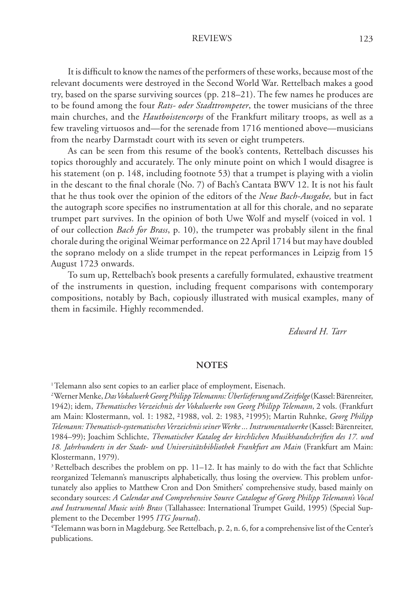It is difficult to know the names of the performers of these works, because most of the relevant documents were destroyed in the Second World War. Rettelbach makes a good try, based on the sparse surviving sources (pp. 218–21). The few names he produces are to be found among the four *Rats- oder Stadttrompeter*, the tower musicians of the three main churches, and the *Hautboistencorps* of the Frankfurt military troops, as well as a few traveling virtuosos and—for the serenade from 1716 mentioned above—musicians from the nearby Darmstadt court with its seven or eight trumpeters.

 As can be seen from this resume of the book's contents, Rettelbach discusses his topics thoroughly and accurately. The only minute point on which I would disagree is his statement (on p. 148, including footnote 53) that a trumpet is playing with a violin in the descant to the final chorale (No. 7) of Bach's Cantata BWV 12. It is not his fault that he thus took over the opinion of the editors of the *Neue Bach-Ausgabe,* but in fact the autograph score specifies no instrumentation at all for this chorale, and no separate trumpet part survives. In the opinion of both Uwe Wolf and myself (voiced in vol. 1 of our collection *Bach for Brass*, p. 10), the trumpeter was probably silent in the final chorale during the original Weimar performance on 22 April 1714 but may have doubled the soprano melody on a slide trumpet in the repeat performances in Leipzig from 15 August 1723 onwards.

 To sum up, Rettelbach's book presents a carefully formulated, exhaustive treatment of the instruments in question, including frequent comparisons with contemporary compositions, notably by Bach, copiously illustrated with musical examples, many of them in facsimile. Highly recommended.

 *Edward H. Tarr*

#### **NOTES**

<sup>&</sup>lt;sup>1</sup> Telemann also sent copies to an earlier place of employment, Eisenach.

<sup>&</sup>lt;sup>2</sup> Werner Menke, *Das Vokalwerk Georg Philipp Telemanns: Überlieferung und Zeitfolge* (Kassel: Bärenreiter, 1942); idem, *Thematisches Verzeichnis der Vokalwerke von Georg Philipp Telemann*, 2 vols. (Frankfurt am Main: Klostermann, vol. 1: 1982, ²1988, vol. 2: 1983, ²1995); Martin Ruhnke, *Georg Philipp Telemann: Thematisch-systematisches Verzeichnis seiner Werke ... Instrumentalwerke* (Kassel: Bärenreiter, 1984–99); Joachim Schlichte, *Thematischer Katalog der kirchlichen Musikhandschriften des 17. und 18. Jahrhunderts in der Stadt- und Universitätsbibliothek Frankfurt am Main* (Frankfurt am Main: Klostermann, 1979).

 $3$  Rettelbach describes the problem on pp. 11–12. It has mainly to do with the fact that Schlichte reorganized Telemann's manuscripts alphabetically, thus losing the overview. This problem unfortunately also applies to Matthew Cron and Don Smithers' comprehensive study, based mainly on secondary sources: *A Calendar and Comprehensive Source Catalogue of Georg Philipp Telemann's Vocal*  and Instrumental Music with Brass (Tallahassee: International Trumpet Guild, 1995) (Special Supplement to the December 1995 *ITG Journal*).

<sup>4</sup> Telemann was born in Magdeburg. See Rettelbach, p. 2, n. 6, for a comprehensive list of the Center's publications.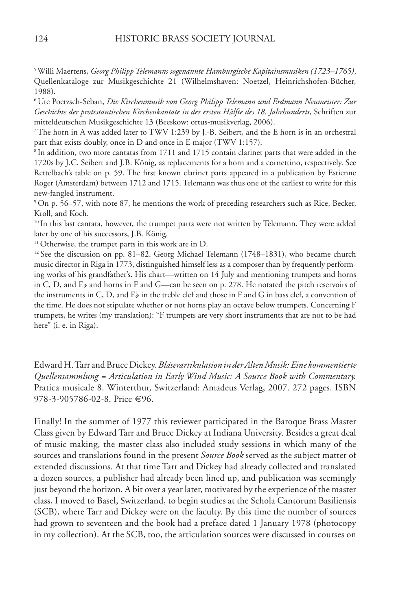5Willi Maertens, *Georg Philipp Telemanns sogenannte Hamburgische Kapitainsmusiken (1723–1765)*, Quellenkataloge zur Musikgeschichte 21 (Wilhelmshaven: Noetzel, Heinrichshofen-Bücher, 1988).

<sup>6</sup> Ute Poetzsch-Seban, *Die Kirchenmusik von Georg Philipp Telemann und Erdmann Neumeister: Zur Geschichte der protestantischen Kirchenkantate in der ersten Hälfte des 18. Jahrhunderts*, Schriften zur mitteldeutschen Musikgeschichte 13 (Beeskow: ortus-musikverlag, 2006).

<sup>7</sup>The horn in A was added later to TWV 1:239 by J.-B. Seibert, and the E horn is in an orchestral part that exists doubly, once in D and once in E major (TWV 1:157).

<sup>8</sup> In addition, two more cantatas from 1711 and 1715 contain clarinet parts that were added in the 1720s by J.C. Seibert and J.B. König, as replacements for a horn and a cornettino, respectively. See Rettelbach's table on p. 59. The first known clarinet parts appeared in a publication by Estienne Roger (Amsterdam) between 1712 and 1715. Telemann was thus one of the earliest to write for this new-fangled instrument.

<sup>9</sup> On p. 56–57, with note 87, he mentions the work of preceding researchers such as Rice, Becker, Kroll, and Koch.

<sup>10</sup> In this last cantata, however, the trumpet parts were not written by Telemann. They were added later by one of his successors, J.B. König.

<sup>11</sup> Otherwise, the trumpet parts in this work are in D.

<sup>12</sup> See the discussion on pp. 81–82. Georg Michael Telemann (1748–1831), who became church music director in Riga in 1773, distinguished himself less as a composer than by frequently performing works of his grandfather's. His chart—written on 14 July and mentioning trumpets and horns in C, D, and  $E_p$  and horns in F and G—can be seen on p. 278. He notated the pitch reservoirs of the instruments in C, D, and  $E<sub>b</sub>$  in the treble clef and those in F and G in bass clef, a convention of the time. He does not stipulate whether or not horns play an octave below trumpets. Concerning F trumpets, he writes (my translation): "F trumpets are very short instruments that are not to be had here" (i. e. in Riga).

Edward H. Tarr and Bruce Dickey. *Bläserartikulation in der Alten Musik: Eine kommentierte serartikulation in derAltenMusik:Eine kommentierte Quellensammlung = Articulation in Early Wind Music: A Source Book with Commentary.*  Pratica musicale 8. Winterthur, Switzerland: Amadeus Verlag, 2007. 272 pages. ISBN 978-3-905786-02-8. Price €96.

Finally! In the summer of 1977 this reviewer participated in the Baroque Brass Master Class given by Edward Tarr and Bruce Dickey at Indiana University. Besides a great deal of music making, the master class also included study sessions in which many of the sources and translations found in the present *Source Book* served as the subject matter of extended discussions. At that time Tarr and Dickey had already collected and translated a dozen sources, a publisher had already been lined up, and publication was seemingly just beyond the horizon. A bit over a year later, motivated by the experience of the master class, I moved to Basel, Switzerland, to begin studies at the Schola Cantorum Basiliensis (SCB), where Tarr and Dickey were on the faculty. By this time the number of sources had grown to seventeen and the book had a preface dated 1 January 1978 (photocopy in my collection). At the SCB, too, the articulation sources were discussed in courses on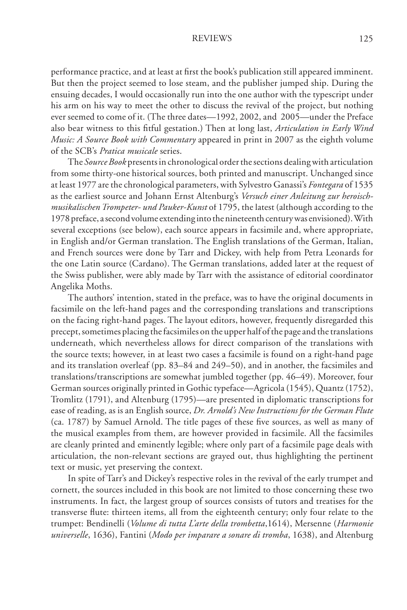performance practice, and at least at first the book's publication still appeared imminent. But then the project seemed to lose steam, and the publisher jumped ship. During the ensuing decades, I would occasionally run into the one author with the typescript under his arm on his way to meet the other to discuss the revival of the project, but nothing ever seemed to come of it. (The three dates—1992, 2002, and 2005—under the Preface also bear witness to this fitful gestation.) Then at long last, *Articulation in Early Wind Music: A Source Book with Commentary* appeared in print in 2007 as the eighth volume of the SCB's *Pratica musicale* series.

The *Source Book* presents in chronological order the sections dealing with articulation from some thirty-one historical sources, both printed and manuscript. Unchanged since at least 1977 are the chronological parameters, with Sylvestro Ganassi's *Fontegara* of 1535 as the earliest source and Johann Ernst Altenburg's *Versuch einer Anleitung zur heroischmusikalischen Trompeter- und Pauker-Kunst* of 1795, the latest (although according to the 1978 preface, a second volume extending into the nineteenth century was envisioned). With several exceptions (see below), each source appears in facsimile and, where appropriate, in English and/or German translation. The English translations of the German, Italian, and French sources were done by Tarr and Dickey, with help from Petra Leonards for the one Latin source (Cardano). The German translations, added later at the request of the Swiss publisher, were ably made by Tarr with the assistance of editorial coordinator Angelika Moths.

 The authors' intention, stated in the preface, was to have the original documents in facsimile on the left-hand pages and the corresponding translations and transcriptions on the facing right-hand pages. The layout editors, however, frequently disregarded this precept, sometimes placing the facsimiles on the upper half of the page and the translations underneath, which nevertheless allows for direct comparison of the translations with the source texts; however, in at least two cases a facsimile is found on a right-hand page and its translation overleaf (pp. 83–84 and 249–50), and in another, the facsimiles and translations/transcriptions are somewhat jumbled together (pp. 46–49). Moreover, four German sources originally printed in Gothic typeface—Agricola (1545), Quantz (1752), Tromlitz (1791), and Altenburg (1795)—are presented in diplomatic transcriptions for ease of reading, as is an English source, *Dr. Arnold's New Instructions for the German Flute*  (ca. 1787) by Samuel Arnold. The title pages of these five sources, as well as many of the musical examples from them, are however provided in facsimile. All the facsimiles are cleanly printed and eminently legible; where only part of a facsimile page deals with articulation, the non-relevant sections are grayed out, thus highlighting the pertinent text or music, yet preserving the context.

 In spite of Tarr's and Dickey's respective roles in the revival of the early trumpet and cornett, the sources included in this book are not limited to those concerning these two instruments. In fact, the largest group of sources consists of tutors and treatises for the transverse flute: thirteen items, all from the eighteenth century; only four relate to the trumpet: Bendinelli (*Volume di tutta L'arte della trombetta*,1614), Mersenne (*Harmonie universelle*, 1636), Fantini (*Modo per imparare a sonare di tromba*, 1638), and Altenburg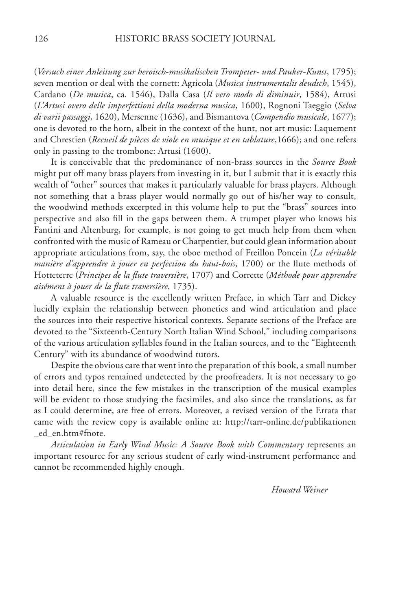(*Versuch einer Anleitung zur heroisch-musikalischen Trompeter- und Pauker-Kunst* , 1795); , 1795); seven mention or deal with the cornett: Agricola (*Musica instrumentalis deudsch*, 1545), Cardano (*De musica*, ca. 1546), Dalla Casa (*Il vero modo di diminuir*, 1584), Artusi (*L'Artusi overo delle imperfettioni della moderna musica*, 1600), Rognoni Taeggio (*Selva di varii passaggi*, 1620), Mersenne (1636), and Bismantova (*Compendio musicale*, 1677); one is devoted to the horn, albeit in the context of the hunt, not art music: Laquement and Chrestien (*Recueil de pièces de viole en musique et en tablature*,1666); and one refers only in passing to the trombone: Artusi (1600).

 It is conceivable that the predominance of non-brass sources in the *Source Book* might put off many brass players from investing in it, but I submit that it is exactly this wealth of "other" sources that makes it particularly valuable for brass players. Although not something that a brass player would normally go out of his/her way to consult, the woodwind methods excerpted in this volume help to put the "brass" sources into perspective and also fill in the gaps between them. A trumpet player who knows his Fantini and Altenburg, for example, is not going to get much help from them when confronted with the music of Rameau or Charpentier, but could glean information about appropriate articulations from, say, the oboe method of Freillon Poncein (*La véritable manière d'apprendre à jouer en perfection du haut-bois*, 1700) or the flute methods of Hotteterre (*Principes de la flute traversière*, 1707) and Corrette (Méthode pour apprendre aisément à jouer de la flute traversière, 1735).

 A valuable resource is the excellently written Preface, in which Tarr and Dickey lucidly explain the relationship between phonetics and wind articulation and place the sources into their respective historical contexts. Separate sections of the Preface are devoted to the "Sixteenth-Century North Italian Wind School," including comparisons of the various articulation syllables found in the Italian sources, and to the "Eighteenth Century" with its abundance of woodwind tutors.

 Despite the obvious care that went into the preparation of this book, a small number of errors and typos remained undetected by the proofreaders. It is not necessary to go into detail here, since the few mistakes in the transcription of the musical examples will be evident to those studying the facsimiles, and also since the translations, as far as I could determine, are free of errors. Moreover, a revised version of the Errata that came with the review copy is available online at: http://tarr-online.de/publikationen \_ed\_en.htm#fnote.

*Articulation in Early Wind Music: A Source Book with Commentary* represents an important resource for any serious student of early wind-instrument performance and cannot be recommended highly enough.

 *Howard Weiner*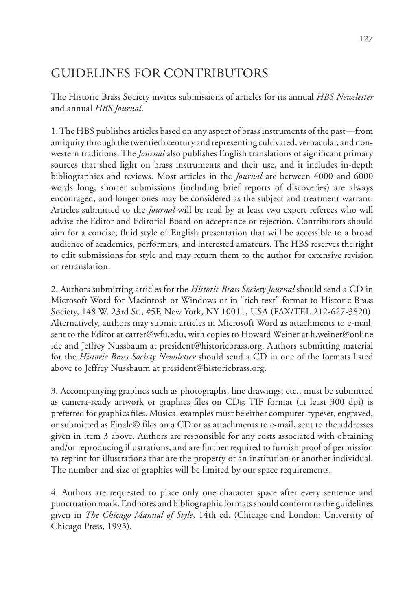# GUIDELINES FOR CONTRIBUTORS

The Historic Brass Society invites submissions of articles for its annual *HBS Newsletter* and annual *HBS Journal*.

1. The HBS publishes articles based on any aspect of brass instruments of the past—from antiquity through the twentieth century and representing cultivated, vernacular, and nonwestern traditions. The *Journal* also publishes English translations of significant primary sources that shed light on brass instruments and their use, and it includes in-depth bibliographies and reviews. Most articles in the *Journal* are between 4000 and 6000 words long; shorter submissions (including brief reports of discoveries) are always encouraged, and longer ones may be considered as the subject and treatment warrant. Articles submitted to the *Journal* will be read by at least two expert referees who will advise the Editor and Editorial Board on acceptance or rejection. Contributors should aim for a concise, fluid style of English presentation that will be accessible to a broad audience of academics, performers, and interested amateurs. The HBS reserves the right to edit submissions for style and may return them to the author for extensive revision or retranslation.

2. Authors submitting articles for the *Historic Brass Society Journal* should send a CD in Microsoft Word for Macintosh or Windows or in "rich text" format to Historic Brass Society, 148 W. 23rd St., #5F, New York, NY 10011, USA (FAX/TEL 212-627-3820). Alternatively, authors may submit articles in Microsoft Word as attachments to e-mail, sent to the Editor at carter@wfu.edu, with copies to Howard Weiner at h.weiner@online .de and Jeffrey Nussbaum at president@historicbrass.org. Authors submitting material for the *Historic Brass Society Newsletter* should send a CD in one of the formats listed above to Jeffrey Nussbaum at president@historicbrass.org.

3. Accompanying graphics such as photographs, line drawings, etc., must be submitted as camera-ready artwork or graphics files on CDs; TIF format (at least 300 dpi) is preferred for graphics files. Musical examples must be either computer-typeset, engraved, or submitted as Finale© files on a CD or as attachments to e-mail, sent to the addresses given in item 3 above. Authors are responsible for any costs associated with obtaining and/or reproducing illustrations, and are further required to furnish proof of permission to reprint for illustrations that are the property of an institution or another individual. The number and size of graphics will be limited by our space requirements.

4. Authors are requested to place only one character space after every sentence and punctuation mark. Endnotes and bibliographic formats should conform to the guidelines given in *The Chicago Manual of Style*, 14th ed. (Chicago and London: University of Chicago Press, 1993).